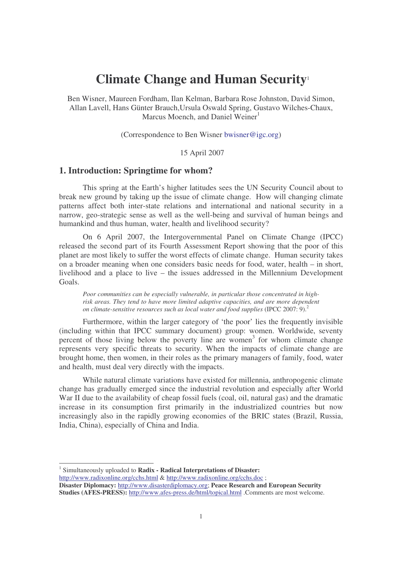# **Climate Change and Human Security** 1

Ben Wisner, Maureen Fordham, Ilan Kelman, Barbara Rose Johnston, David Simon, Allan Lavell, Hans Günter Brauch,Ursula Oswald Spring, Gustavo Wilches-Chaux, Marcus Moench, and Daniel Weiner<sup>1</sup>

(Correspondence to Ben Wisner bwisner@igc.org)

15 April 2007

# **1. Introduction: Springtime for whom?**

This spring at the Earth's higher latitudes sees the UN Security Council about to break new ground by taking up the issue of climate change. How will changing climate patterns affect both inter-state relations and international and national security in a narrow, geo-strategic sense as well as the well-being and survival of human beings and humankind and thus human, water, health and livelihood security?

On 6 April 2007, the Intergovernmental Panel on Climate Change (IPCC) released the second part of its Fourth Assessment Report showing that the poor of this planet are most likely to suffer the worst effects of climate change. Human security takes on a broader meaning when one considers basic needs for food, water, health – in short, livelihood and a place to live – the issues addressed in the Millennium Development Goals.

*Poor communities can be especially vulnerable, in particular those concentrated in highrisk areas. They tend to have more limited adaptive capacities, and are more dependent on climate-sensitive resources such as local water and food supplies* (IPCC 2007: 9). 2

Furthermore, within the larger category of 'the poor' lies the frequently invisible (including within that IPCC summary document) group: women. Worldwide, seventy percent of those living below the poverty line are women<sup>3</sup> for whom climate change represents very specific threats to security. When the impacts of climate change are brought home, then women, in their roles as the primary managers of family, food, water and health, must deal very directly with the impacts.

While natural climate variations have existed for millennia, anthropogenic climate change has gradually emerged since the industrial revolution and especially after World War II due to the availability of cheap fossil fuels (coal, oil, natural gas) and the dramatic increase in its consumption first primarily in the industrialized countries but now increasingly also in the rapidly growing economies of the BRIC states (Brazil, Russia, India, China), especially of China and India.

1 Simultaneously uploaded to **Radix - Radical Interpretations of Disaster:**

http://www.radixonline.org/cchs.html & http://www.radixonline.org/cchs.doc ;

**Disaster Diplomacy:** http://www.disasterdiplomacy.org; **Peace Research and European Security Studies (AFES-PRESS):** http://www.afes-press.de/html/topical.html .Comments are most welcome.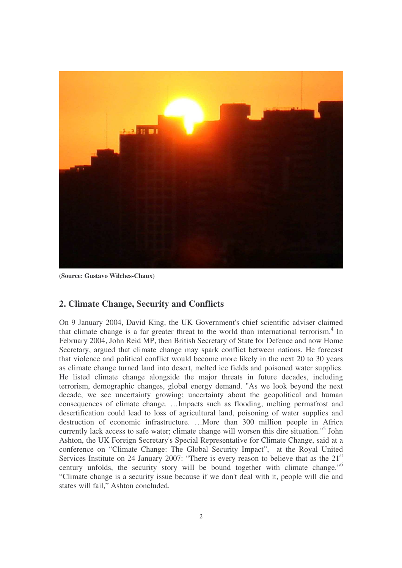

**(Source: Gustavo Wilches-Chaux)**

# **2. Climate Change, Security and Conflicts**

On 9 January 2004, David King, the UK Government's chief scientific adviser claimed that climate change is a far greater threat to the world than international terrorism.<sup>4</sup> In February 2004, John Reid MP, then British Secretary of State for Defence and now Home Secretary, argued that climate change may spark conflict between nations. He forecast that violence and political conflict would become more likely in the next 20 to 30 years as climate change turned land into desert, melted ice fields and poisoned water supplies. He listed climate change alongside the major threats in future decades, including terrorism, demographic changes, global energy demand. "As we look beyond the next decade, we see uncertainty growing; uncertainty about the geopolitical and human consequences of climate change. …Impacts such as flooding, melting permafrost and desertification could lead to loss of agricultural land, poisoning of water supplies and destruction of economic infrastructure. …More than 300 million people in Africa currently lack access to safe water; climate change will worsen this dire situation." 5 John Ashton, the UK Foreign Secretary's Special Representative for Climate Change, said at a conference on "Climate Change: The Global Security Impact", at the Royal United Services Institute on 24 January 2007: "There is every reason to believe that as the 21<sup>st</sup> century unfolds, the security story will be bound together with climate change."<sup>6</sup> "Climate change is a security issue because if we don't deal with it, people will die and states will fail," Ashton concluded.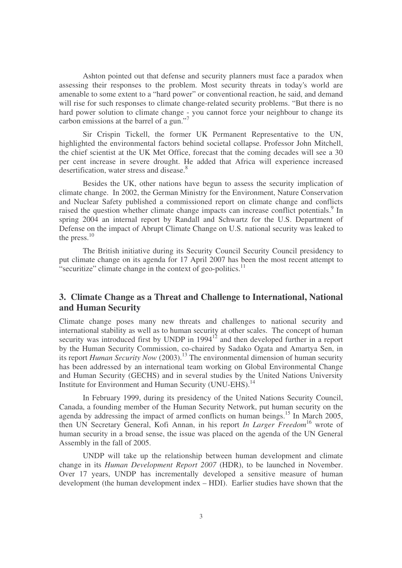Ashton pointed out that defense and security planners must face a paradox when assessing their responses to the problem. Most security threats in today's world are amenable to some extent to a "hard power" or conventional reaction, he said, and demand will rise for such responses to climate change-related security problems. "But there is no hard power solution to climate change - you cannot force your neighbour to change its carbon emissions at the barrel of a gun."<sup>7</sup>

Sir Crispin Tickell, the former UK Permanent Representative to the UN, highlighted the environmental factors behind societal collapse. Professor John Mitchell, the chief scientist at the UK Met Office, forecast that the coming decades will see a 30 per cent increase in severe drought. He added that Africa will experience increased desertification, water stress and disease.<sup>8</sup>

Besides the UK, other nations have begun to assess the security implication of climate change. In 2002, the German Ministry for the Environment, Nature Conservation and Nuclear Safety published a commissioned report on climate change and conflicts raised the question whether climate change impacts can increase conflict potentials.<sup>9</sup> In spring 2004 an internal report by Randall and Schwartz for the U.S. Department of Defense on the impact of Abrupt Climate Change on U.S. national security was leaked to the press.<sup>10</sup>

The British initiative during its Security Council Security Council presidency to put climate change on its agenda for 17 April 2007 has been the most recent attempt to "securitize" climate change in the context of geo-politics.<sup>11</sup>

# **3. Climate Change as a Threat and Challenge to International, National and Human Security**

Climate change poses many new threats and challenges to national security and international stability as well as to human security at other scales. The concept of human security was introduced first by UNDP in  $1994<sup>12</sup>$  and then developed further in a report by the Human Security Commission, co-chaired by Sadako Ogata and Amartya Sen, in its report *Human Security Now* (2003). <sup>13</sup> The environmental dimension of human security has been addressed by an international team working on Global Environmental Change and Human Security (GECHS) and in several studies by the United Nations University Institute for Environment and Human Security (UNU-EHS).<sup>14</sup>

In February 1999, during its presidency of the United Nations Security Council, Canada, a founding member of the Human Security Network, put human security on the agenda by addressing the impact of armed conflicts on human beings.<sup>15</sup> In March 2005, then UN Secretary General, Kofi Annan, in his report *In Larger Freedom* <sup>16</sup> wrote of human security in a broad sense, the issue was placed on the agenda of the UN General Assembly in the fall of 2005.

UNDP will take up the relationship between human development and climate change in its *Human Development Report 2007* (HDR), to be launched in November. Over 17 years, UNDP has incrementally developed a sensitive measure of human development (the human development index – HDI). Earlier studies have shown that the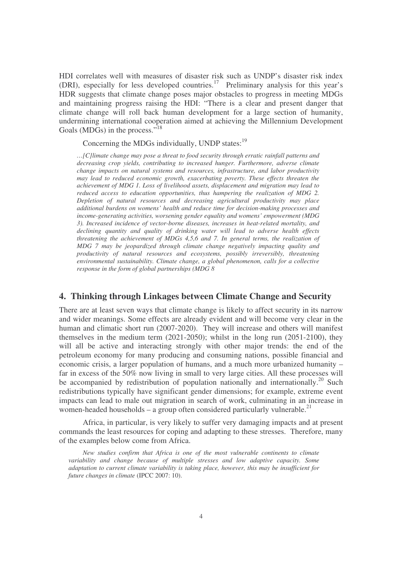HDI correlates well with measures of disaster risk such as UNDP's disaster risk index (DRI), especially for less developed countries. 17 Preliminary analysis for this year's HDR suggests that climate change poses major obstacles to progress in meeting MDGs and maintaining progress raising the HDI: "There is a clear and present danger that climate change will roll back human development for a large section of humanity, undermining international cooperation aimed at achieving the Millennium Development Goals (MDGs) in the process."<sup>18</sup>

Concerning the MDGs individually, UNDP states:<sup>19</sup>

*…[C]limate change may pose a threat to food security through erratic rainfall patterns and decreasing crop yields, contributing to increased hunger. Furthermore, adverse climate change impacts on natural systems and resources, infrastructure, and labor productivity may lead to reduced economic growth, exacerbating poverty. These effects threaten the achievement of MDG 1. Loss of livelihood assets, displacement and migration may lead to reduced access to education opportunities, thus hampering the realization of MDG 2. Depletion of natural resources and decreasing agricultural productivity may place additional burdens on womens' health and reduce time for decision-making processes and income-generating activities, worsening gender equality and womens' empowerment (MDG 3). Increased incidence of vector-borne diseases, increases in heat-related mortality, and declining quantity and quality of drinking water will lead to adverse health effects threatening the achievement of MDGs 4,5,6 and 7. In general terms, the realization of MDG 7 may be jeopardized through climate change negatively impacting quality and productivity of natural resources and ecosystems, possibly irreversibly, threatening environmental sustainability. Climate change, a global phenomenon, calls for a collective response in the form of global partnerships (MDG 8*

# **4. Thinking through Linkages between Climate Change and Security**

There are at least seven ways that climate change is likely to affect security in its narrow and wider meanings. Some effects are already evident and will become very clear in the human and climatic short run (2007-2020). They will increase and others will manifest themselves in the medium term (2021-2050); whilst in the long run (2051-2100), they will all be active and interacting strongly with other major trends: the end of the petroleum economy for many producing and consuming nations, possible financial and economic crisis, a larger population of humans, and a much more urbanized humanity – far in excess of the 50% now living in small to very large cities. All these processes will be accompanied by redistribution of population nationally and internationally.<sup>20</sup> Such redistributions typically have significant gender dimensions; for example, extreme event impacts can lead to male out migration in search of work, culminating in an increase in women-headed households – a group often considered particularly vulnerable.<sup>21</sup>

Africa, in particular, is very likely to suffer very damaging impacts and at present commands the least resources for coping and adapting to these stresses. Therefore, many of the examples below come from Africa.

*New studies confirm that Africa is one of the most vulnerable continents to climate variability and change because of multiple stresses and low adaptive capacity. Some adaptation to current climate variability is taking place, however, this may be insufficient for future changes in climate* (IPCC 2007: 10).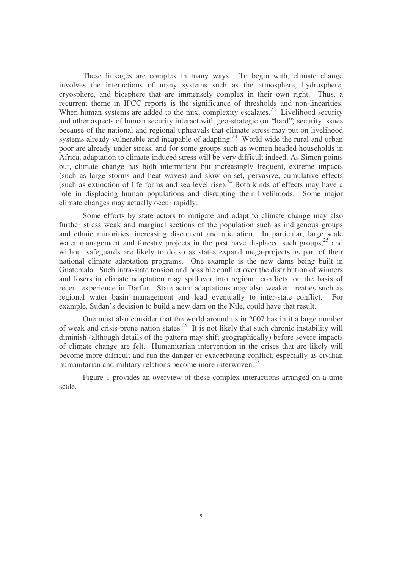These linkages are complex in many ways. To begin with, climate change involves the interactions of many systems such as the atmosphere, hydrosphere, cryosphere, and biosphere that are immensely complex in their own right. Thus, a recurrent theme in IPCC reports is the significance of thresholds and non-linearities. When human systems are added to the mix, complexity escalates.<sup>22</sup> Livelihood security and other aspects of human security interact with geo-strategic (or "hard") security issues because of the national and regional upheavals that climate stress may put on livelihood systems already vulnerable and incapable of adapting.<sup>23</sup> World wide the rural and urban poor are already under stress, and for some groups such as women headed households in Africa, adaptation to climate-induced stress will be very difficult indeed. As Simon points out, climate change has both intermittent but increasingly frequent, extreme impacts (such as large storms and heat waves) and slow on-set, pervasive, cumulative effects (such as extinction of life forms and sea level rise). $^{24}$  Both kinds of effects may have a role in displacing human populations and disrupting their livelihoods. Some major climate changes may actually occur rapidly.

Some efforts by state actors to mitigate and adapt to climate change may also further stress weak and marginal sections of the population such as indigenous groups and ethnic minorities, increasing discontent and alienation. In particular, large scale water management and forestry projects in the past have displaced such groups,<sup>25</sup> and without safeguards are likely to do so as states expand mega-projects as part of their national climate adaptation programs. One example is the new dams being built in Guatemala. Such intra-state tension and possible conflict over the distribution of winners and losers in climate adaptation may spillover into regional conflicts, on the basis of recent experience in Darfur. State actor adaptations may also weaken treaties such as regional water basin management and lead eventually to inter-state conflict. For example, Sudan's decision to build a new dam on the Nile, could have that result.

One must also consider that the world around us in 2007 has in it a large number of weak and crisis-prone nation states.<sup>26</sup> It is not likely that such chronic instability will diminish (although details of the pattern may shift geographically) before severe impacts of climate change are felt. Humanitarian intervention in the crises that are likely will become more difficult and run the danger of exacerbating conflict, especially as civilian humanitarian and military relations become more interwoven.<sup>27</sup>

Figure 1 provides an overview of these complex interactions arranged on a time scale.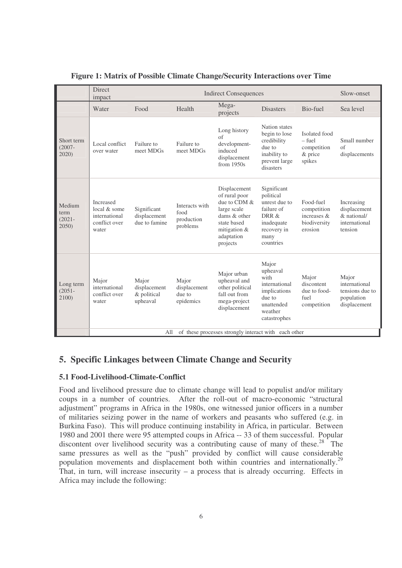| Water                                                                       |                                                  | Direct<br><b>Indirect Consequences</b><br>impact |                                                                                                                                       |                                                                                                                    |                                                                    |                                                                         |  |
|-----------------------------------------------------------------------------|--------------------------------------------------|--------------------------------------------------|---------------------------------------------------------------------------------------------------------------------------------------|--------------------------------------------------------------------------------------------------------------------|--------------------------------------------------------------------|-------------------------------------------------------------------------|--|
|                                                                             | Food                                             | Health                                           | Mega-<br>projects                                                                                                                     | <b>Disasters</b>                                                                                                   | Bio-fuel                                                           | Sea level                                                               |  |
| Local conflict<br>over water                                                | Failure to<br>meet MDGs                          | Failure to<br>meet MDGs                          | Long history<br>of<br>development-<br>induced<br>displacement<br>from $1950s$                                                         | Nation states<br>begin to lose<br>credibility<br>due to<br>inability to<br>prevent large<br>disasters              | Isolated food<br>– fuel<br>competition<br>& price<br>spikes        | Small number<br>of<br>displacements                                     |  |
| <b>Increased</b><br>local & some<br>international<br>conflict over<br>water | Significant<br>displacement<br>due to famine     | Interacts with<br>food<br>production<br>problems | Displacement<br>of rural poor<br>due to CDM &<br>large scale<br>dams & other<br>state based<br>mitigation &<br>adaptation<br>projects | Significant<br>political<br>unrest due to<br>failure of<br>DRR &<br>inadequate<br>recovery in<br>many<br>countries | Food-fuel<br>competition<br>increases &<br>biodiversity<br>erosion | Increasing<br>displacement<br>& national/<br>international<br>tension   |  |
| Major<br>international<br>conflict over<br>water                            | Major<br>displacement<br>& political<br>upheaval | Major<br>displacement<br>due to<br>epidemics     | Major urban<br>upheaval and<br>other political<br>fall out from<br>mega-project<br>displacement                                       | Major<br>upheaval<br>with<br>international<br>implications<br>due to<br>unattended<br>weather<br>catastrophes      | Major<br>discontent<br>due to food-<br>fuel<br>competition         | Major<br>international<br>tensions due to<br>population<br>displacement |  |
|                                                                             |                                                  | All                                              |                                                                                                                                       |                                                                                                                    |                                                                    | of these processes strongly interact with each other                    |  |

## **Figure 1: Matrix of Possible Climate Change/Security Interactions over Time**

# **5. Specific Linkages between Climate Change and Security**

## **5.1 Food-Livelihood-Climate-Conflict**

Food and livelihood pressure due to climate change will lead to populist and/or military coups in a number of countries. After the roll-out of macro-economic "structural adjustment" programs in Africa in the 1980s, one witnessed junior officers in a number of militaries seizing power in the name of workers and peasants who suffered (e.g. in Burkina Faso). This will produce continuing instability in Africa, in particular. Between 1980 and 2001 there were 95 attempted coups in Africa -- 33 of them successful. Popular discontent over livelihood security was a contributing cause of many of these.<sup>28</sup> The same pressures as well as the "push" provided by conflict will cause considerable population movements and displacement both within countries and internationally.<sup>29</sup> That, in turn, will increase insecurity  $-$  a process that is already occurring. Effects in Africa may include the following: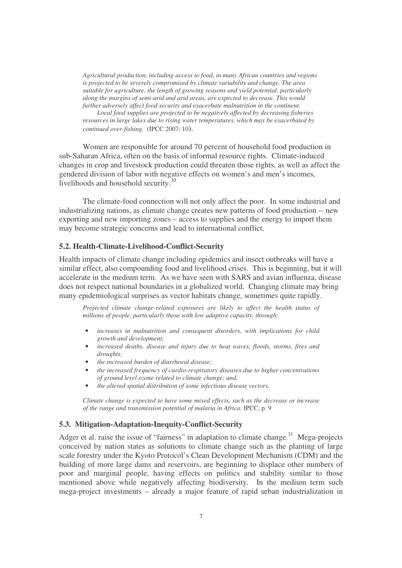*Agricultural production, including access to food, in many African countries and regions is projected to be severely compromised by climate variability and change. The area suitable for agriculture, the length of growing seasons and yield potential, particularly along the margins of semi-arid and arid areas, are expected to decrease. This would further adversely affect food security and exacerbate malnutrition in the continent.*

*Local food supplies are projected to be negatively affected by decreasing fisheries resources in large lakes due to rising water temperatures, which may be exacerbated by continued over-fishing.* (IPCC 2007: 10).

Women are responsible for around 70 percent of household food production in sub-Saharan Africa, often on the basis of informal resource rights. Climate-induced changes in crop and livestock production could threaten those rights, as well as affect the gendered division of labor with negative effects on women's and men's incomes, livelihoods and household security.<sup>30</sup>

The climate-food connection will not only affect the poor. In some industrial and industrializing nations, as climate change creates new patterns of food production -- new exporting and new importing zones – access to supplies and the energy to import them may become strategic concerns and lead to international conflict.

#### **5.2. Health-Climate-Livelihood-Conflict-Security**

Health impacts of climate change including epidemics and insect outbreaks will have a similar effect, also compounding food and livelihood crises. This is beginning, but it will accelerate in the medium term. As we have seen with SARS and avian influenza, disease does not respect national boundaries in a globalized world. Changing climate may bring many epidemiological surprises as vector habitats change, sometimes quite rapidly.

*Projected climate change-related exposures are likely to affect the health status of millions of people, particularly those with low adaptive capacity, through:*

- *increases in malnutrition and consequent disorders, with implications for child growth and development;*
- *increased deaths, disease and injury due to heat waves, floods, storms, fires and droughts;*
- *the increased burden of diarrhoeal disease;*
- *the increased frequency of cardio-respiratory diseases due to higher concentrations of ground level ozone related to climate change; and,*
- *the altered spatial distribution of some infectious disease vectors.*

*Climate change is expected to have some mixed effects, such as the decrease or increase of the range and transmission potential of malaria in Africa.* IPCC, p. 9

#### **5.3. Mitigation-Adaptation-Inequity-Conflict-Security**

Adger et al. raise the issue of "fairness" in adaptation to climate change.<sup>31</sup> Mega-projects conceived by nation states as solutions to climate change such as the planting of large scale forestry under the Kyoto Protocol's Clean Development Mechanism (CDM) and the building of more large dams and reservoirs, are beginning to displace other numbers of poor and marginal people, having effects on politics and stability similar to those mentioned above while negatively affecting biodiversity. In the medium term such mega-project investments – already a major feature of rapid urban industrialization in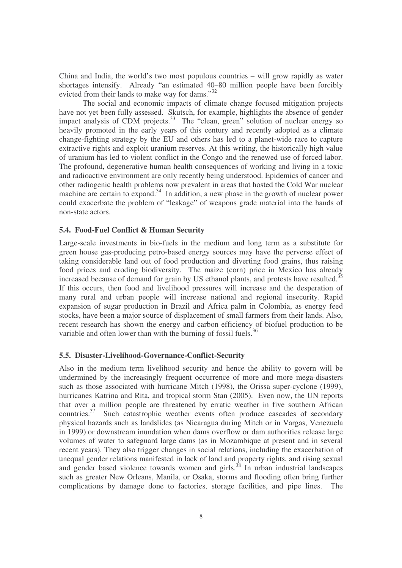China and India, the world's two most populous countries – will grow rapidly as water shortages intensify. Already "an estimated 40–80 million people have been forcibly evicted from their lands to make way for dams."<sup>32</sup>

The social and economic impacts of climate change focused mitigation projects have not yet been fully assessed. Skutsch, for example, highlights the absence of gender impact analysis of CDM projects.<sup>33</sup> The "clean, green" solution of nuclear energy so heavily promoted in the early years of this century and recently adopted as a climate change-fighting strategy by the EU and others has led to a planet-wide race to capture extractive rights and exploit uranium reserves. At this writing, the historically high value of uranium has led to violent conflict in the Congo and the renewed use of forced labor. The profound, degenerative human health consequences of working and living in a toxic and radioactive environment are only recently being understood. Epidemics of cancer and other radiogenic health problems now prevalent in areas that hosted the Cold War nuclear machine are certain to expand.<sup>34</sup> In addition, a new phase in the growth of nuclear power could exacerbate the problem of "leakage" of weapons grade material into the hands of non-state actors.

## **5.4. Food-Fuel Conflict & Human Security**

Large-scale investments in bio-fuels in the medium and long term as a substitute for green house gas-producing petro-based energy sources may have the perverse effect of taking considerable land out of food production and diverting food grains, thus raising food prices and eroding biodiversity. The maize (corn) price in Mexico has already increased because of demand for grain by US ethanol plants, and protests have resulted.<sup>35</sup> If this occurs, then food and livelihood pressures will increase and the desperation of many rural and urban people will increase national and regional insecurity. Rapid expansion of sugar production in Brazil and Africa palm in Colombia, as energy feed stocks, have been a major source of displacement of small farmers from their lands. Also, recent research has shown the energy and carbon efficiency of biofuel production to be variable and often lower than with the burning of fossil fuels.<sup>36</sup>

#### **5.5. Disaster-Livelihood-Governance-Conflict-Security**

Also in the medium term livelihood security and hence the ability to govern will be undermined by the increasingly frequent occurrence of more and more mega-disasters such as those associated with hurricane Mitch (1998), the Orissa super-cyclone (1999), hurricanes Katrina and Rita, and tropical storm Stan (2005). Even now, the UN reports that over a million people are threatened by erratic weather in five southern African countries.<sup>37</sup> Such catastrophic weather events often produce cascades of secondary physical hazards such as landslides (as Nicaragua during Mitch or in Vargas, Venezuela in 1999) or downstream inundation when dams overflow or dam authorities release large volumes of water to safeguard large dams (as in Mozambique at present and in several recent years). They also trigger changes in social relations, including the exacerbation of unequal gender relations manifested in lack of land and property rights, and rising sexual and gender based violence towards women and girls. 38 In urban industrial landscapes such as greater New Orleans, Manila, or Osaka, storms and flooding often bring further complications by damage done to factories, storage facilities, and pipe lines. The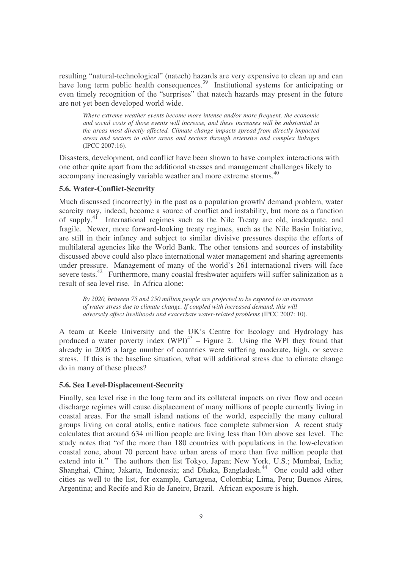resulting "natural-technological" (natech) hazards are very expensive to clean up and can have long term public health consequences.<sup>39</sup> Institutional systems for anticipating or even timely recognition of the "surprises" that natech hazards may present in the future are not yet been developed world wide.

*Where extreme weather events become more intense and/or more frequent, the economic and social costs of those events will increase, and these increases will be substantial in the areas most directly affected. Climate change impacts spread from directly impacted areas and sectors to other areas and sectors through extensive and complex linkages* (IPCC 2007:16).

Disasters, development, and conflict have been shown to have complex interactions with one other quite apart from the additional stresses and management challenges likely to accompany increasingly variable weather and more extreme storms. 40

## **5.6. Water-Conflict-Security**

Much discussed (incorrectly) in the past as a population growth/ demand problem, water scarcity may, indeed, become a source of conflict and instability, but more as a function of supply.<sup>41</sup> International regimes such as the Nile Treaty are old, inadequate, and fragile. Newer, more forward-looking treaty regimes, such as the Nile Basin Initiative, are still in their infancy and subject to similar divisive pressures despite the efforts of multilateral agencies like the World Bank. The other tensions and sources of instability discussed above could also place international water management and sharing agreements under pressure. Management of many of the world's 261 international rivers will face severe tests.<sup>42</sup> Furthermore, many coastal freshwater aquifers will suffer salinization as a result of sea level rise. In Africa alone:

*By 2020, between 75 and 250 million people are projected to be exposed to an increase of water stress due to climate change. If coupled with increased demand, this will adversely affect livelihoods and exacerbate water-related problems* (IPCC 2007: 10).

A team at Keele University and the UK's Centre for Ecology and Hydrology has produced a water poverty index  $(WPI)^{43}$  – Figure 2. Using the WPI they found that already in 2005 a large number of countries were suffering moderate, high, or severe stress. If this is the baseline situation, what will additional stress due to climate change do in many of these places?

#### **5.6. Sea Level-Displacement-Security**

Finally, sea level rise in the long term and its collateral impacts on river flow and ocean discharge regimes will cause displacement of many millions of people currently living in coastal areas. For the small island nations of the world, especially the many cultural groups living on coral atolls, entire nations face complete submersion A recent study calculates that around 634 million people are living less than 10m above sea level. The study notes that "of the more than 180 countries with populations in the low-elevation coastal zone, about 70 percent have urban areas of more than five million people that extend into it." The authors then list Tokyo, Japan; New York, U.S.; Mumbai, India; Shanghai, China; Jakarta, Indonesia; and Dhaka, Bangladesh.<sup>44</sup> One could add other cities as well to the list, for example, Cartagena, Colombia; Lima, Peru; Buenos Aires, Argentina; and Recife and Rio de Janeiro, Brazil. African exposure is high.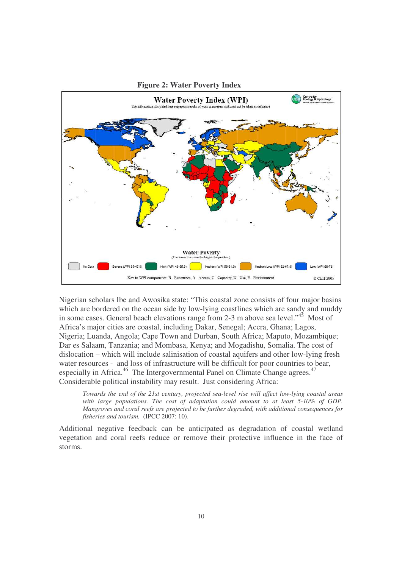

Nigerian scholars Ibe and Awosika state: "This coastal zone consists of four major basins which are bordered on the ocean side by low-lying coastlines which are sandy and muddy in some cases. General beach elevations range from 2-3 m above sea level."<sup>45</sup> Most of Africa's major cities are coastal, including Dakar, Senegal; Accra, Ghana; Lagos, Nigeria; Luanda, Angola; Cape Town and Durban, South Africa; Maputo, Mozambique; Dar es Salaam, Tanzania; and Mombasa, Kenya; and Mogadishu, Somalia. The cost of dislocation – which will include salinisation of coastal aquifers and other low-lying fresh water resources - and loss of infrastructure will be difficult for poor countries to bear, especially in Africa.<sup>46</sup> The Intergovernmental Panel on Climate Change agrees.<sup>47</sup> Considerable political instability may result. Just considering Africa:

*Towards the end of the 21st century, projected sea-level rise will affect low-lying coastal areas with large populations. The cost of adaptation could amount to at least 5-10% of GDP. Mangroves and coral reefs are projected to be further degraded, with additional consequences for fisheries and tourism.* (IPCC 2007: 10).

Additional negative feedback can be anticipated as degradation of coastal wetland vegetation and coral reefs reduce or remove their protective influence in the face of storms.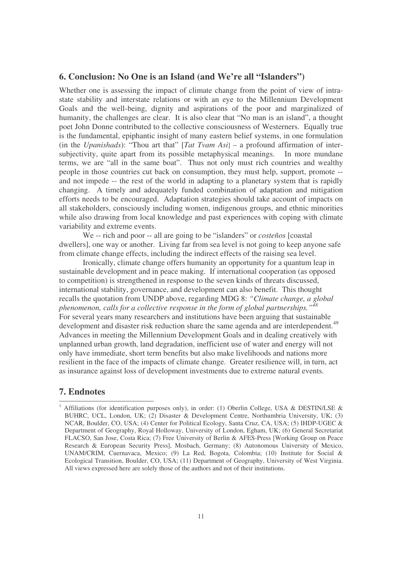# **6. Conclusion: No One is an Island (and We're all "Islanders")**

Whether one is assessing the impact of climate change from the point of view of intrastate stability and interstate relations or with an eye to the Millennium Development Goals and the well-being, dignity and aspirations of the poor and marginalized of humanity, the challenges are clear. It is also clear that "No man is an island", a thought poet John Donne contributed to the collective consciousness of Westerners. Equally true is the fundamental, epiphantic insight of many eastern belief systems, in one formulation (in the *Upanishads*): "Thou art that" [*Tat Tvam Asi*] – a profound affirmation of intersubjectivity, quite apart from its possible metaphysical meanings. In more mundane terms, we are "all in the same boat". Thus not only must rich countries and wealthy people in those countries cut back on consumption, they must help, support, promote - and not impede -- the rest of the world in adapting to a planetary system that is rapidly changing. A timely and adequately funded combination of adaptation and mitigation efforts needs to be encouraged. Adaptation strategies should take account of impacts on all stakeholders, consciously including women, indigenous groups, and ethnic minorities while also drawing from local knowledge and past experiences with coping with climate variability and extreme events.

We -- rich and poor -- all are going to be "islanders" or *costeños* [coastal dwellers], one way or another. Living far from sea level is not going to keep anyone safe from climate change effects, including the indirect effects of the raising sea level.

Ironically, climate change offers humanity an opportunity for a quantum leap in sustainable development and in peace making. If international cooperation (as opposed to competition) is strengthened in response to the seven kinds of threats discussed, international stability, governance, and development can also benefit. This thought recalls the quotation from UNDP above, regarding MDG 8: *"Climate change, a global phenomenon, calls for a collective response in the form of global partnerships." 48* For several years many researchers and institutions have been arguing that sustainable development and disaster risk reduction share the same agenda and are interdependent.<sup>49</sup> Advances in meeting the Millennium Development Goals and in dealing creatively with unplanned urban growth, land degradation, inefficient use of water and energy will not only have immediate, short term benefits but also make livelihoods and nations more resilient in the face of the impacts of climate change. Greater resilience will, in turn, act as insurance against loss of development investments due to extreme natural events.

# **7. Endnotes**

<sup>&</sup>lt;sup>1</sup> Affiliations (for identification purposes only), in order: (1) Oberlin College, USA & DESTIN/LSE & BUHRC, UCL, London, UK; (2) Disaster & Development Centre, Northumbria University, UK; (3) NCAR, Boulder, CO, USA; (4) Center for Political Ecology, Santa Cruz, CA, USA; (5) IHDP-UGEC & Department of Geography, Royal Holloway, University of London, Egham, UK; (6) General Secretariat FLACSO, San Jose, Costa Rica; (7) Free University of Berlin & AFES-Press [Working Group on Peace Research & European Security Press], Mosbach, Germany; (8) Autonomous University of Mexico, UNAM/CRIM, Cuernavaca, Mexico; (9) La Red, Bogota, Colombia; (10) Institute for Social & Ecological Transition, Boulder, CO, USA; (11) Department of Geography, University of West Virginia. All views expressed here are solely those of the authors and not of their institutions.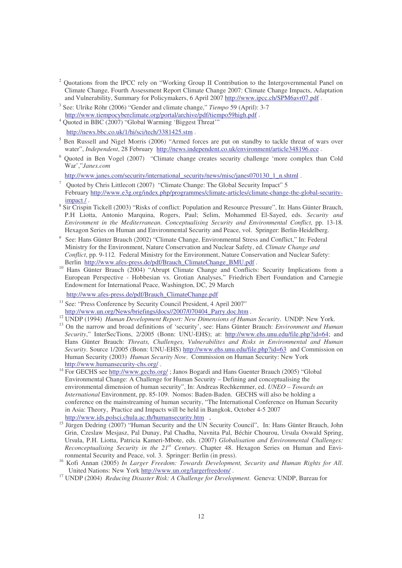- <sup>2</sup> Quotations from the IPCC rely on "Working Group II Contribution to the Intergovernmental Panel on Climate Change, Fourth Assessment Report Climate Change 2007: Climate Change Impacts, Adaptation and Vulnerability, Summary for Policymakers, 6 April 2007 http://www.ipcc.ch/SPM6avr07.pdf .
- 3 See: Ulrike Röhr (2006) "Gender and climate change," *Tiempo* 59 (April): 3-7 http://www.tiempocyberclimate.org/portal/archive/pdf/tiempo59high.pdf .
- <sup>4</sup> Ouoted in BBC (2007) "Global Warming 'Biggest Threat" http://news.bbc.co.uk/1/hi/sci/tech/3381425.stm .
- <sup>5</sup> Ben Russell and Nigel Morris (2006) "Armed forces are put on standby to tackle threat of wars over water", *Independent*, 28 February http://news.independent.co.uk/environment/article348196.ece .
- <sup>6</sup> Quoted in Ben Vogel (2007) "Climate change creates security challenge 'more complex than Cold War',"*Janes.com*

http://www.janes.com/security/international\_security/news/misc/janes070130\_1\_n.shtml .

- <sup>7</sup> Quoted by Chris Littlecott (2007) "Climate Change: The Global Security Impact" 5 February http://www.e3g.org/index.php/programmes/climate-articles/climate-change-the-global-securityimpact / .
- <sup>8</sup> Sir Crispin Tickell (2003) "Risks of conflict: Population and Resource Pressure", In: Hans Günter Brauch, P.H Liotta, Antonio Marquina, Rogers, Paul; Selim, Mohammed El-Sayed, eds. *Security and Environment in the Mediterranean. Conceptualising Security and Environmental Conflict*, pp. 13-18*.* Hexagon Series on Human and Environmental Security and Peace, vol. Springer: Berlin-Heidelberg.
- <sup>9</sup> See: Hans Günter Brauch (2002) "Climate Change, Environmental Stress and Conflict," In: Federal Ministry for the Environment, Nature Conservation and Nuclear Safety, ed. *Climate Change and Conflict*, pp. 9-112*.* Federal Ministry for the Environment, Nature Conservation and Nuclear Safety: Berlin http://www.afes-press.de/pdf/Brauch\_ClimateChange\_BMU.pdf .
- <sup>10</sup> Hans Günter Brauch (2004) "Abrupt Climate Change and Conflicts: Security Implications from a European Perspective - Hobbesian vs. Grotian Analyses," Friedrich Ebert Foundation and Carnegie Endowment for International Peace, Washington, DC, 29 March

http://www.afes-press.de/pdf/Brauch\_ClimateChange.pdf

- <sup>11</sup> See: "Press Conference by Security Council President, 4 April 2007" http://www.un.org/News/briefings/docs//2007/070404\_Parry.doc.htm .
- <sup>12</sup> UNDP (1994) *Human Development Report: New Dimensions of Human Security*. UNDP: New York.
- <sup>13</sup> On the narrow and broad definitions of 'security', see: Hans Günter Brauch: *Environment and Human Security*," InterSecTions, 2/2005 (Bonn: UNU-EHS); at: http://www.ehs.unu.edu/file.php?id=64; and Hans Günter Brauch: *Threats, Challenges, Vulnerabilites and Risks in Environmental and Human Security*. Source 1/2005 (Bonn: UNU-EHS) http://www.ehs.unu.edu/file.php?id=63 and Commission on Human Security (2003) *Human Security Now*. Commission on Human Security: New York http://www.humansecurity-chs.org/ .
- <sup>14</sup> For GECHS see http://www.gechs.org/; Janos Bogardi and Hans Guenter Brauch (2005) "Global Environmental Change: A Challenge for Human Security – Defining and conceptualising the environmental dimension of human security", In: Andreas Rechkemmer, ed. *UNEO – Towards an International* Environment, pp. 85-109. Nomos: Baden-Baden. GECHS will also be holding a conference on the mainstreaming of human security, "The International Conference on Human Security in Asia: Theory, Practice and Impacts will be held in Bangkok, October 4-5 2007 http://www.ids.polsci.chula.ac.th/humansecurity.htm .
- <sup>15</sup> Jürgen Dedring (2007) "Human Security and the UN Security Council", In: Hans Günter Brauch, John Grin, Czeslaw Mesjasz, Pal Dunay, Pal Chadha, Navnita Pal, Béchir Chourou, Ursula Oswald Spring, Ursula, P.H. Liotta, Patricia Kameri-Mbote, eds. (2007) *Globalisation and Environmental Challenges: Reconceptualising Security in the 21 st Century.* Chapter 48. Hexagon Series on Human and Environmental Security and Peace, vol. 3. Springer: Berlin (in press).

<sup>17</sup> UNDP (2004) *Reducing Disaster Risk: A Challenge for Development*. Geneva: UNDP, Bureau for

<sup>16</sup> Kofi Annan (2005) *In Larger Freedom: Towards Development, Security and Human Rights for All*. United Nations: New York http://www.un.org/largerfreedom/ .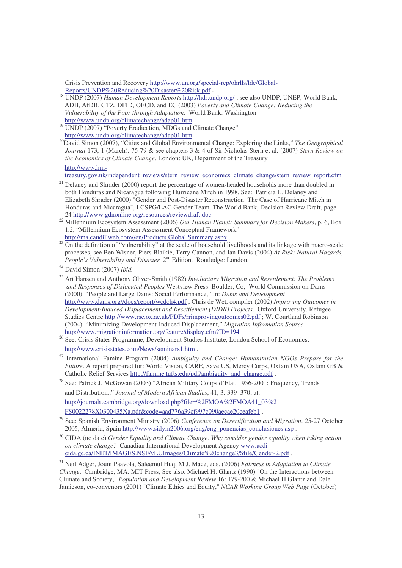Crisis Prevention and Recovery http://www.un.org/special-rep/ohrlls/ldc/Global-Reports/UNDP%20Reducing%20Disaster%20Risk.pdf .

- <sup>18</sup> UNDP (2007) *Human Development Reports* http://hdr.undp.org/ ; see also UNDP, UNEP, World Bank, ADB, AfDB, GTZ, DFID, OECD, and EC (2003) *Poverty and Climate Change: Reducing the Vulnerability of the Poor through Adaptation*. World Bank: Washington http://www.undp.org/climatechange/adap01.htm .
- <sup>19</sup> UNDP (2007) "Poverty Eradication, MDGs and Climate Change" http://www.undp.org/climatechange/adap01.htm .
- <sup>20</sup>David Simon (2007), "Cities and Global Environmental Change: Exploring the Links," *The Geographical Journal* 173, 1 (March): 75-79 & see chapters 3 & 4 of Sir Nicholas Stern et al. (2007) *Stern Review on the Economics of Climate Change*. London: UK, Department of the Treasury

http://www.hm-

treasury.gov.uk/independent\_reviews/stern\_review\_economics\_climate\_change/stern\_review\_report.cfm

- <sup>21</sup> Delaney and Shrader (2000) report the percentage of women-headed households more than doubled in both Honduras and Nicaragua following Hurricane Mitch in 1998. See: Patricia L. Delaney and Elizabeth Shrader (2000) "Gender and Post-Disaster Reconstruction: The Case of Hurricane Mitch in Honduras and Nicaragua", LCSPG/LAC Gender Team, The World Bank, Decision Review Draft, page 24 http://www.gdnonline.org/resources/reviewdraft.doc .
- <sup>22</sup> Millennium Ecosystem Assessment (2006) *Our Human Planet: Summary for Decision Makers*, p. 6, Box 1.2, "Millennium Ecosystem Assessment Conceptual Framework" http://ma.caudillweb.com//en/Products.Global.Summary.aspx.
- $2<sup>23</sup>$  On the definition of "vulnerability" at the scale of household livelihoods and its linkage with macro-scale processes, see Ben Wisner, Piers Blaikie, Terry Cannon, and Ian Davis (2004) *At Risk: Natural Hazards,* People's Vulnerability and Disaster. 2<sup>nd</sup> Edition. Routledge: London.

<sup>26</sup> See: Crisis States Programme, Development Studies Institute, London School of Economics: http://www.crisisstates.com/News/seminars1.htm .

27 International Famine Program (2004) *Ambiguity and Change: Humanitarian NGOs Prepare for the Future*. A report prepared for: World Vision, CARE, Save US, Mercy Corps, Oxfam USA, Oxfam GB & Catholic Relief Services http://famine.tufts.edu/pdf/ambiguity\_and\_change.pdf .

- <sup>28</sup> See: Patrick J. McGowan (2003) "African Military Coups d'Etat, 1956-2001: Frequency, Trends and Distribution.." *Journal of Modern African Studies*, 41, 3: 339–370; at: http://journals.cambridge.org/download.php?file=%2FMOA%2FMOA41\_03%2 FS0022278X0300435Xa.pdf&code=aad776a39cf997c090aecae20ceafeb1 .
- 29 See: Spanish Environment Ministry (2006) *Conference on Desertification and Migration*. 25-27 October 2005, Almeria, Spain http://www.sidym2006.org/eng/eng\_ponencias\_conclusiones.asp .
- <sup>30</sup> CIDA (no date) *Gender Equality and Climate Change. Why consider gender equality when taking action on climate change?* Canadian International Development Agency www.acdicida.gc.ca/INET/IMAGES.NSF/vLUImages/Climate%20change3/\$file/Gender-2.pdf .

<sup>24</sup> David Simon (2007) *Ibid.*

<sup>25</sup> Art Hansen and Anthony Oliver-Smith (1982) *Involuntary Migration and Resettlement: The Problems and Responses of Dislocated Peoples* Westview Press: Boulder, Co; World Commission on Dams (2000) "People and Large Dams: Social Performance," In: *Dams and Development* http://www.dams.org//docs/report/wcdch4.pdf ; Chris de Wet, compiler (2002) *Improving Outcomes in Development-Induced Displacement and Resettlement (DIDR) Projects*. Oxford University, Refugee Studies Centre http://www.rsc.ox.ac.uk/PDFs/rrimprovingoutcomes02.pdf ; W. Courtland Robinson (2004) "Minimizing Development-Induced Displacement," *Migration Information Source* http://www.migrationinformation.org/feature/display.cfm?ID=194.

<sup>31</sup> Neil Adger, Jouni Paavola, Saleemul Huq, M.J. Mace, eds. (2006) *Fairness in Adaptation to Climate Change*. Cambridge, MA: MIT Press; See also: Michael H. Glantz (1990) "On the Interactions between Climate and Society," *Population and Development Review* 16: 179-200 & Michael H Glantz and Dale Jamieson, co-convenors (2001) "Climate Ethics and Equity," *NCAR Working Group Web Page* (October)